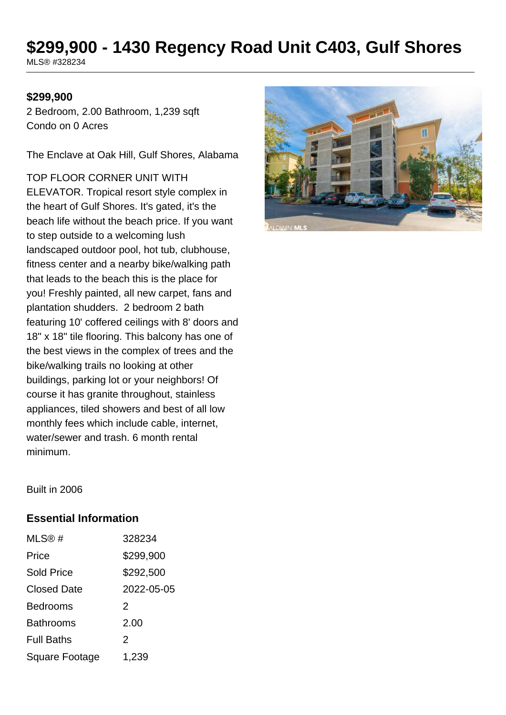# **\$299,900 - 1430 Regency Road Unit C403, Gulf Shores**

MLS® #328234

#### **\$299,900**

2 Bedroom, 2.00 Bathroom, 1,239 sqft Condo on 0 Acres

The Enclave at Oak Hill, Gulf Shores, Alabama

TOP FLOOR CORNER UNIT WITH ELEVATOR. Tropical resort style complex in the heart of Gulf Shores. It's gated, it's the beach life without the beach price. If you want to step outside to a welcoming lush landscaped outdoor pool, hot tub, clubhouse, fitness center and a nearby bike/walking path that leads to the beach this is the place for you! Freshly painted, all new carpet, fans and plantation shudders. 2 bedroom 2 bath featuring 10' coffered ceilings with 8' doors and 18" x 18" tile flooring. This balcony has one of the best views in the complex of trees and the bike/walking trails no looking at other buildings, parking lot or your neighbors! Of course it has granite throughout, stainless appliances, tiled showers and best of all low monthly fees which include cable, internet, water/sewer and trash. 6 month rental minimum.



Built in 2006

#### **Essential Information**

| MLS@#              | 328234     |
|--------------------|------------|
| Price              | \$299,900  |
| <b>Sold Price</b>  | \$292,500  |
| <b>Closed Date</b> | 2022-05-05 |
| <b>Bedrooms</b>    | 2          |
| <b>Bathrooms</b>   | 2.00       |
| <b>Full Baths</b>  | 2          |
| Square Footage     | 1,239      |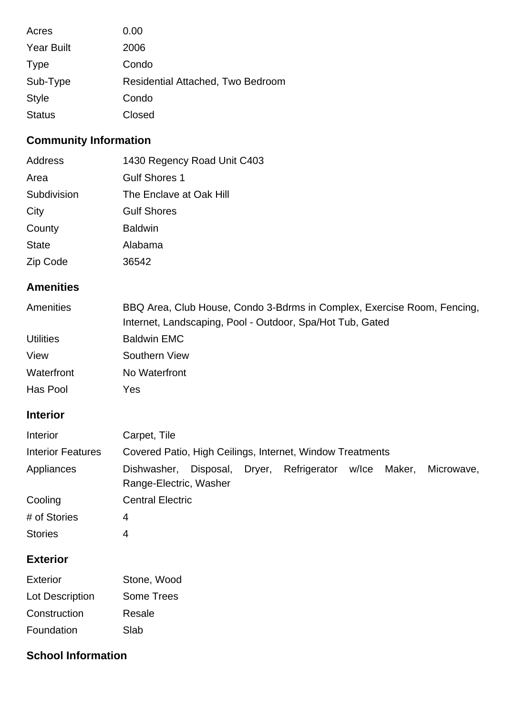| Acres             | 0.00                              |
|-------------------|-----------------------------------|
| <b>Year Built</b> | 2006                              |
| <b>Type</b>       | Condo                             |
| Sub-Type          | Residential Attached, Two Bedroom |
| <b>Style</b>      | Condo                             |
| <b>Status</b>     | Closed                            |

# **Community Information**

| Address      | 1430 Regency Road Unit C403 |
|--------------|-----------------------------|
| Area         | <b>Gulf Shores 1</b>        |
| Subdivision  | The Enclave at Oak Hill     |
| City         | <b>Gulf Shores</b>          |
| County       | <b>Baldwin</b>              |
| <b>State</b> | Alabama                     |
| Zip Code     | 36542                       |

### **Amenities**

| Amenities        | BBQ Area, Club House, Condo 3-Bdrms in Complex, Exercise Room, Fencing, |  |  |
|------------------|-------------------------------------------------------------------------|--|--|
|                  | Internet, Landscaping, Pool - Outdoor, Spa/Hot Tub, Gated               |  |  |
| <b>Utilities</b> | <b>Baldwin EMC</b>                                                      |  |  |
| View             | Southern View                                                           |  |  |
| Waterfront       | No Waterfront                                                           |  |  |
| Has Pool         | Yes                                                                     |  |  |

#### **Interior**

| Interior                 | Carpet, Tile                                              |           |        |                    |        |            |
|--------------------------|-----------------------------------------------------------|-----------|--------|--------------------|--------|------------|
| <b>Interior Features</b> | Covered Patio, High Ceilings, Internet, Window Treatments |           |        |                    |        |            |
| Appliances               | Dishwasher,<br>Range-Electric, Washer                     | Disposal, | Dryer, | Refrigerator w/lce | Maker, | Microwave, |
| Cooling                  | <b>Central Electric</b>                                   |           |        |                    |        |            |
| # of Stories             | 4                                                         |           |        |                    |        |            |
| <b>Stories</b>           | 4                                                         |           |        |                    |        |            |

## **Exterior**

| Exterior               | Stone, Wood       |
|------------------------|-------------------|
| <b>Lot Description</b> | <b>Some Trees</b> |
| Construction           | Resale            |
| Foundation             | Slab              |

#### **School Information**